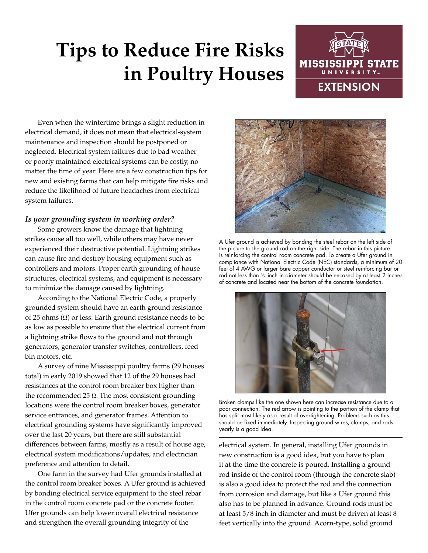# **Tips to Reduce Fire Risks in Poultry Houses**



Even when the wintertime brings a slight reduction in electrical demand, it does not mean that electrical-system maintenance and inspection should be postponed or neglected. Electrical system failures due to bad weather or poorly maintained electrical systems can be costly, no matter the time of year. Here are a few construction tips for new and existing farms that can help mitigate fire risks and reduce the likelihood of future headaches from electrical system failures.

### *Is your grounding system in working order?*

Some growers know the damage that lightning strikes cause all too well, while others may have never experienced their destructive potential. Lightning strikes can cause fire and destroy housing equipment such as controllers and motors. Proper earth grounding of house structures, electrical systems, and equipment is necessary to minimize the damage caused by lightning.

According to the National Electric Code, a properly grounded system should have an earth ground resistance of 25 ohms  $(Ω)$  or less. Earth ground resistance needs to be as low as possible to ensure that the electrical current from a lightning strike flows to the ground and not through generators, generator transfer switches, controllers, feed bin motors, etc.

A survey of nine Mississippi poultry farms (29 houses total) in early 2019 showed that 12 of the 29 houses had resistances at the control room breaker box higher than the recommended 25  $Ω$ . The most consistent grounding locations were the control room breaker boxes, generator service entrances, and generator frames. Attention to electrical grounding systems have significantly improved over the last 20 years, but there are still substantial differences between farms, mostly as a result of house age, electrical system modifications/updates, and electrician preference and attention to detail.

One farm in the survey had Ufer grounds installed at the control room breaker boxes. A Ufer ground is achieved by bonding electrical service equipment to the steel rebar in the control room concrete pad or the concrete footer. Ufer grounds can help lower overall electrical resistance and strengthen the overall grounding integrity of the



A Ufer ground is achieved by bonding the steel rebar on the left side of the picture to the ground rod on the right side. The rebar in this picture is reinforcing the control room concrete pad. To create a Ufer ground in compliance with National Electric Code (NEC) standards, a minimum of 20 feet of 4 AWG or larger bare copper conductor or steel reinforcing bar or rod not less than ½ inch in diameter should be encased by at least 2 inches of concrete and located near the bottom of the concrete foundation.



Broken clamps like the one shown here can increase resistance due to a poor connection. The red arrow is pointing to the portion of the clamp that has split most likely as a result of overtightening. Problems such as this should be fixed immediately. Inspecting ground wires, clamps, and rods yearly is a good idea.

electrical system. In general, installing Ufer grounds in new construction is a good idea, but you have to plan it at the time the concrete is poured. Installing a ground rod inside of the control room (through the concrete slab) is also a good idea to protect the rod and the connection from corrosion and damage, but like a Ufer ground this also has to be planned in advance. Ground rods must be at least 5/8 inch in diameter and must be driven at least 8 feet vertically into the ground. Acorn-type, solid ground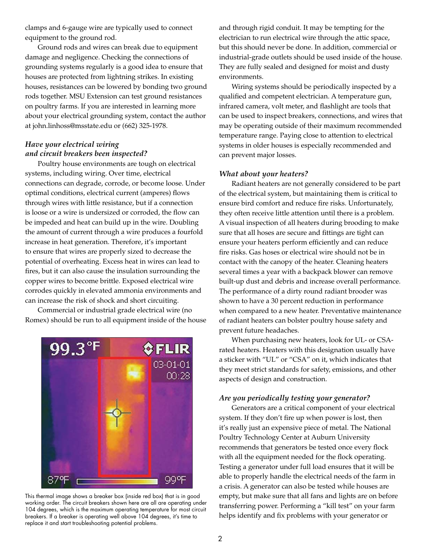clamps and 6-gauge wire are typically used to connect equipment to the ground rod.

Ground rods and wires can break due to equipment damage and negligence. Checking the connections of grounding systems regularly is a good idea to ensure that houses are protected from lightning strikes. In existing houses, resistances can be lowered by bonding two ground rods together. MSU Extension can test ground resistances on poultry farms. If you are interested in learning more about your electrical grounding system, contact the author at john.linhoss@msstate.edu or (662) 325-1978.

## *Have your electrical wiring and circuit breakers been inspected?*

Poultry house environments are tough on electrical systems, including wiring. Over time, electrical connections can degrade, corrode, or become loose. Under optimal conditions, electrical current (amperes) flows through wires with little resistance, but if a connection is loose or a wire is undersized or corroded, the flow can be impeded and heat can build up in the wire. Doubling the amount of current through a wire produces a fourfold increase in heat generation. Therefore, it's important to ensure that wires are properly sized to decrease the potential of overheating. Excess heat in wires can lead to fires, but it can also cause the insulation surrounding the copper wires to become brittle. Exposed electrical wire corrodes quickly in elevated ammonia environments and can increase the risk of shock and short circuiting.

Commercial or industrial grade electrical wire (no Romex) should be run to all equipment inside of the house



This thermal image shows a breaker box (inside red box) that is in good working order. The circuit breakers shown here are all are operating under 104 degrees, which is the maximum operating temperature for most circuit breakers. If a breaker is operating well above 104 degrees, it's time to replace it and start troubleshooting potential problems.

and through rigid conduit. It may be tempting for the electrician to run electrical wire through the attic space, but this should never be done. In addition, commercial or industrial-grade outlets should be used inside of the house. They are fully sealed and designed for moist and dusty environments.

Wiring systems should be periodically inspected by a qualified and competent electrician. A temperature gun, infrared camera, volt meter, and flashlight are tools that can be used to inspect breakers, connections, and wires that may be operating outside of their maximum recommended temperature range. Paying close to attention to electrical systems in older houses is especially recommended and can prevent major losses.

#### *What about your heaters?*

Radiant heaters are not generally considered to be part of the electrical system, but maintaining them is critical to ensure bird comfort and reduce fire risks. Unfortunately, they often receive little attention until there is a problem. A visual inspection of all heaters during brooding to make sure that all hoses are secure and fittings are tight can ensure your heaters perform efficiently and can reduce fire risks. Gas hoses or electrical wire should not be in contact with the canopy of the heater. Cleaning heaters several times a year with a backpack blower can remove built-up dust and debris and increase overall performance. The performance of a dirty round radiant brooder was shown to have a 30 percent reduction in performance when compared to a new heater. Preventative maintenance of radiant heaters can bolster poultry house safety and prevent future headaches.

When purchasing new heaters, look for UL- or CSArated heaters. Heaters with this designation usually have a sticker with "UL" or "CSA" on it, which indicates that they meet strict standards for safety, emissions, and other aspects of design and construction.

#### *Are you periodically testing your generator?*

Generators are a critical component of your electrical system. If they don't fire up when power is lost, then it's really just an expensive piece of metal. The National Poultry Technology Center at Auburn University recommends that generators be tested once every flock with all the equipment needed for the flock operating. Testing a generator under full load ensures that it will be able to properly handle the electrical needs of the farm in a crisis. A generator can also be tested while houses are empty, but make sure that all fans and lights are on before transferring power. Performing a "kill test" on your farm helps identify and fix problems with your generator or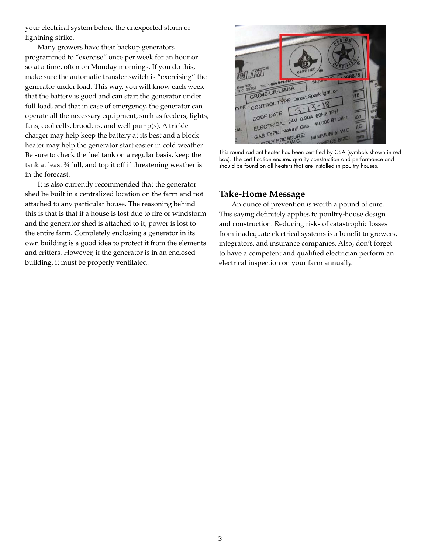your electrical system before the unexpected storm or lightning strike.

Many growers have their backup generators programmed to "exercise" once per week for an hour or so at a time, often on Monday mornings. If you do this, make sure the automatic transfer switch is "exercising" the generator under load. This way, you will know each week that the battery is good and can start the generator under full load, and that in case of emergency, the generator can operate all the necessary equipment, such as feeders, lights, fans, cool cells, brooders, and well pump(s). A trickle charger may help keep the battery at its best and a block heater may help the generator start easier in cold weather. Be sure to check the fuel tank on a regular basis, keep the tank at least ¾ full, and top it off if threatening weather is in the forecast.

It is also currently recommended that the generator shed be built in a centralized location on the farm and not attached to any particular house. The reasoning behind this is that is that if a house is lost due to fire or windstorm and the generator shed is attached to it, power is lost to the entire farm. Completely enclosing a generator in its own building is a good idea to protect it from the elements and critters. However, if the generator is in an enclosed building, it must be properly ventilated.



This round radiant heater has been certified by CSA (symbols shown in red box). The certification ensures quality construction and performance and should be found on all heaters that are installed in poultry houses.

## **Take-Home Message**

An ounce of prevention is worth a pound of cure. This saying definitely applies to poultry-house design and construction. Reducing risks of catastrophic losses from inadequate electrical systems is a benefit to growers, integrators, and insurance companies. Also, don't forget to have a competent and qualified electrician perform an electrical inspection on your farm annually.